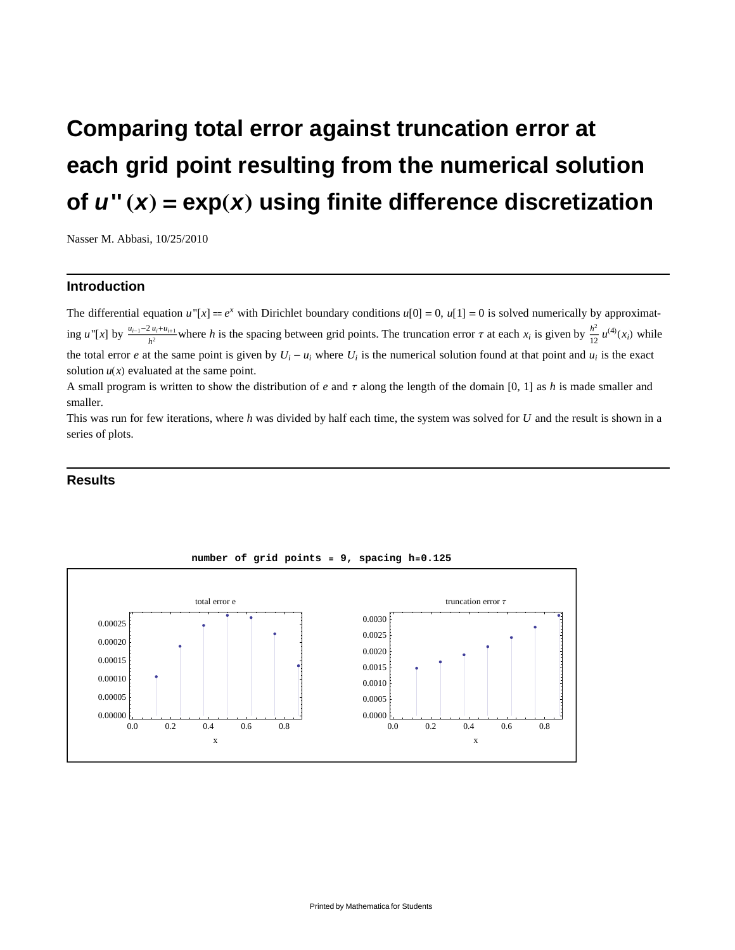# **Comparing total error against truncation error at each grid point resulting from the numerical solution of**  $u''(x) = \exp(x)$  using finite difference discretization

Nasser M. Abbasi, 10/25/2010

# **Introduction**

The differential equation  $u''[x] = e^x$  with Dirichlet boundary conditions  $u[0] = 0$ ,  $u[1] = 0$  is solved numerically by approximating *u*<sup>*''*[*x*] by  $\frac{u_{i-1}-2u_i+u_{i+1}}{h^2}$  where *h* is the spacing between grid points. The truncation error  $\tau$  at each  $x_i$  is given by  $\frac{h^2}{12}$ </sup>  $\frac{h^2}{12} u^{(4)}(x_i)$  while the total error *e* at the same point is given by  $U_i - u_i$  where  $U_i$  is the numerical solution found at that point and  $u_i$  is the exact solution  $u(x)$  evaluated at the same point.

A small program is written to show the distribution of *e* and  $\tau$  along the length of the domain [0, 1] as *h* is made smaller and smaller.

This was run for few iterations, where *h* was divided by half each time, the system was solved for *U* and the result is shown in a series of plots.

## **Results**



#### **number of grid points = 9, spacing h=0.125**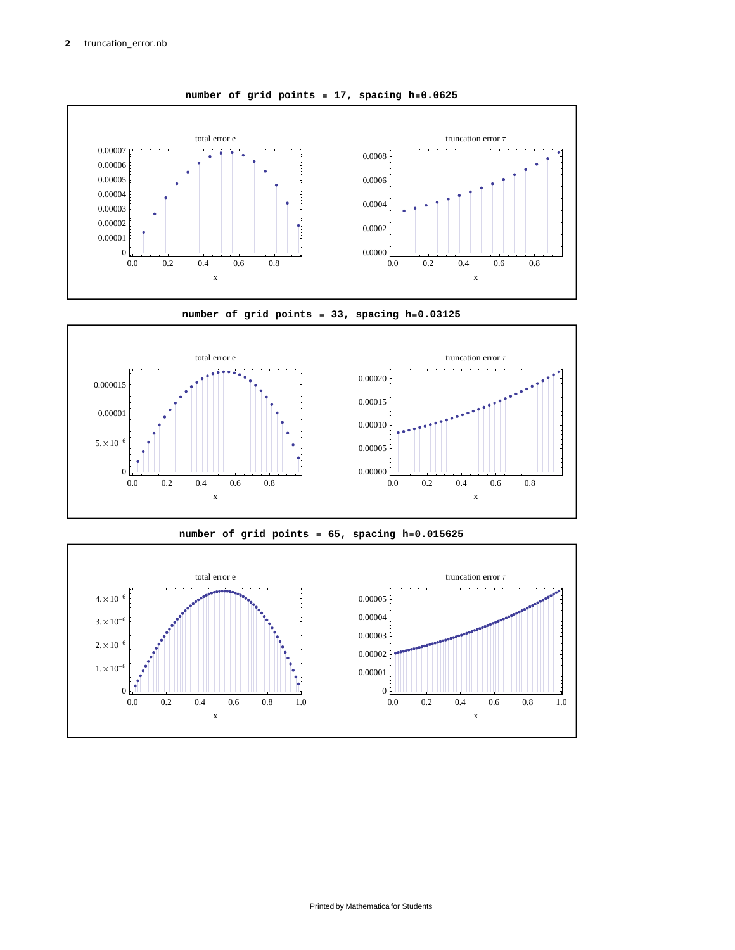

**number of grid points = 17, spacing h=0.0625**







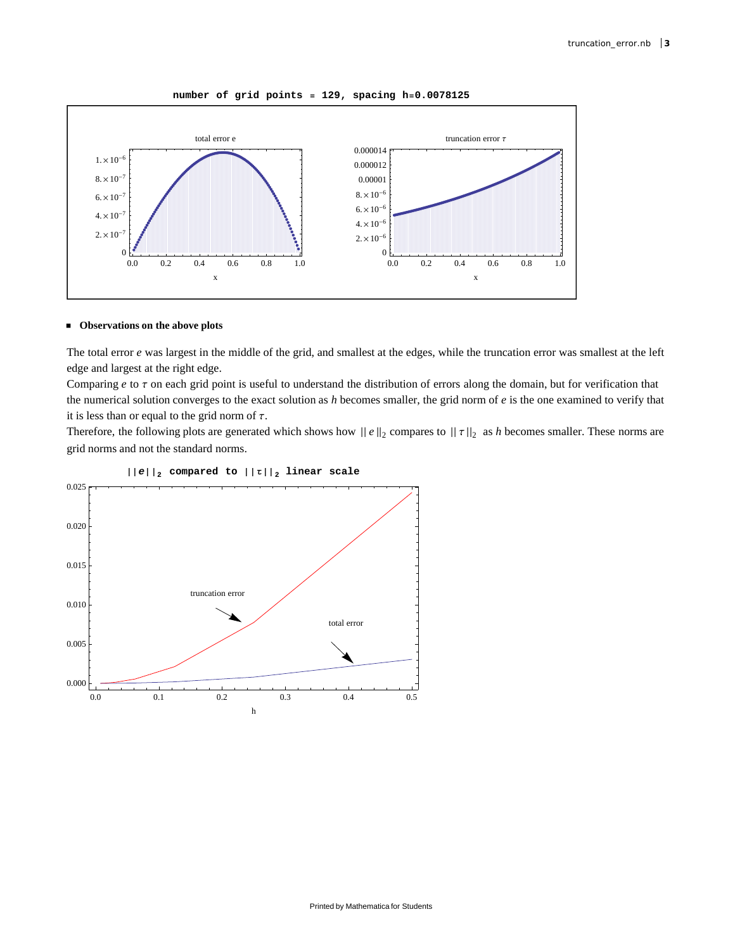



### **Observations on the above plots**

The total error *e* was largest in the middle of the grid, and smallest at the edges, while the truncation error was smallest at the left edge and largest at the right edge.

Comparing *e* to τ on each grid point is useful to understand the distribution of errors along the domain, but for verification that the numerical solution converges to the exact solution as *h* becomes smaller, the grid norm of *e* is the one examined to verify that it is less than or equal to the grid norm of  $\tau$ .

Therefore, the following plots are generated which shows how  $||e||_2$  compares to  $||\tau||_2$  as *h* becomes smaller. These norms are grid norms and not the standard norms.



## $\left| \left| e \right| \right|_2$  compared to  $\left| \left| \tau \right| \right|_2$  linear scale